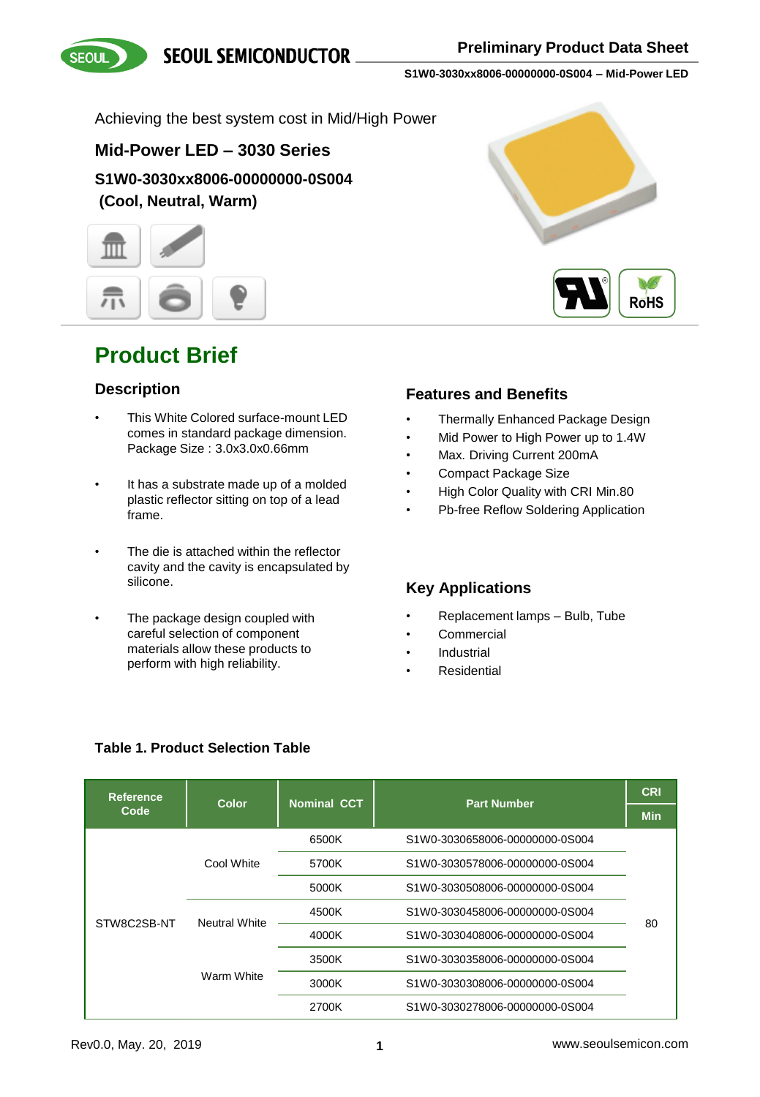**SEOUL SEMICONDUCTOR** 





**S1W0-3030xx8006-00000000-0S004 – Mid-Power LED**

Achieving the best system cost in Mid/High Power

### **Mid-Power LED – 3030 Series**

**S1W0-3030xx8006-00000000-0S004 (Cool, Neutral, Warm)**



## **Product Brief**

### **Description**

- This White Colored surface-mount LED comes in standard package dimension. Package Size : 3.0x3.0x0.66mm
- It has a substrate made up of a molded plastic reflector sitting on top of a lead frame.
- The die is attached within the reflector cavity and the cavity is encapsulated by silicone.
- The package design coupled with careful selection of component materials allow these products to perform with high reliability.





### **Features and Benefits**

- Thermally Enhanced Package Design
- Mid Power to High Power up to 1.4W
- Max. Driving Current 200mA
- Compact Package Size
- High Color Quality with CRI Min.80
- Pb-free Reflow Soldering Application

### **Key Applications**

- Replacement lamps Bulb, Tube
- **Commercial**
- **Industrial**
- **Residential**

| <b>Reference</b> |                                    | <b>Nominal CCT</b> | <b>Part Number</b>             | <b>CRI</b> |
|------------------|------------------------------------|--------------------|--------------------------------|------------|
| Code             | Color                              |                    |                                | <b>Min</b> |
|                  |                                    | 6500K              | S1W0-3030658006-00000000-0S004 |            |
| STW8C2SB-NT      | Cool White                         | 5700K              | S1W0-3030578006-00000000-0S004 |            |
|                  |                                    | 5000K              | S1W0-3030508006-00000000-0S004 | 80         |
|                  | <b>Neutral White</b><br>Warm White | 4500K              | S1W0-3030458006-00000000-0S004 |            |
|                  |                                    | 4000K              | S1W0-3030408006-00000000-0S004 |            |
|                  |                                    | 3500K              | S1W0-3030358006-00000000-0S004 |            |
|                  |                                    | 3000K              | S1W0-3030308006-00000000-0S004 |            |
|                  |                                    | 2700K              | S1W0-3030278006-00000000-0S004 |            |

### **Table 1. Product Selection Table**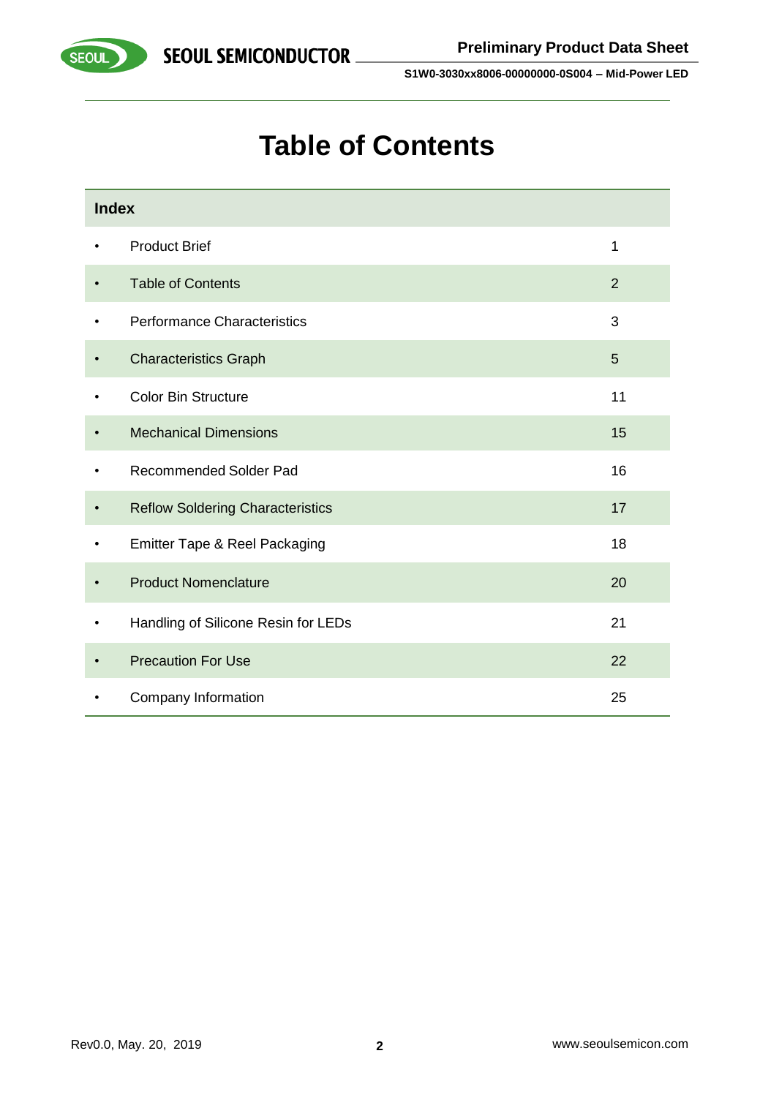

# **Table of Contents**

|           | <b>Index</b>                            |    |  |  |  |  |
|-----------|-----------------------------------------|----|--|--|--|--|
| ٠         | <b>Product Brief</b>                    | 1  |  |  |  |  |
| $\bullet$ | <b>Table of Contents</b>                | 2  |  |  |  |  |
| ٠         | <b>Performance Characteristics</b>      | 3  |  |  |  |  |
|           | <b>Characteristics Graph</b>            | 5  |  |  |  |  |
| ٠         | <b>Color Bin Structure</b>              | 11 |  |  |  |  |
|           | <b>Mechanical Dimensions</b>            | 15 |  |  |  |  |
|           | <b>Recommended Solder Pad</b>           | 16 |  |  |  |  |
| $\bullet$ | <b>Reflow Soldering Characteristics</b> | 17 |  |  |  |  |
| $\bullet$ | Emitter Tape & Reel Packaging           | 18 |  |  |  |  |
|           | <b>Product Nomenclature</b>             | 20 |  |  |  |  |
|           | Handling of Silicone Resin for LEDs     | 21 |  |  |  |  |
|           | <b>Precaution For Use</b>               | 22 |  |  |  |  |
|           | Company Information                     | 25 |  |  |  |  |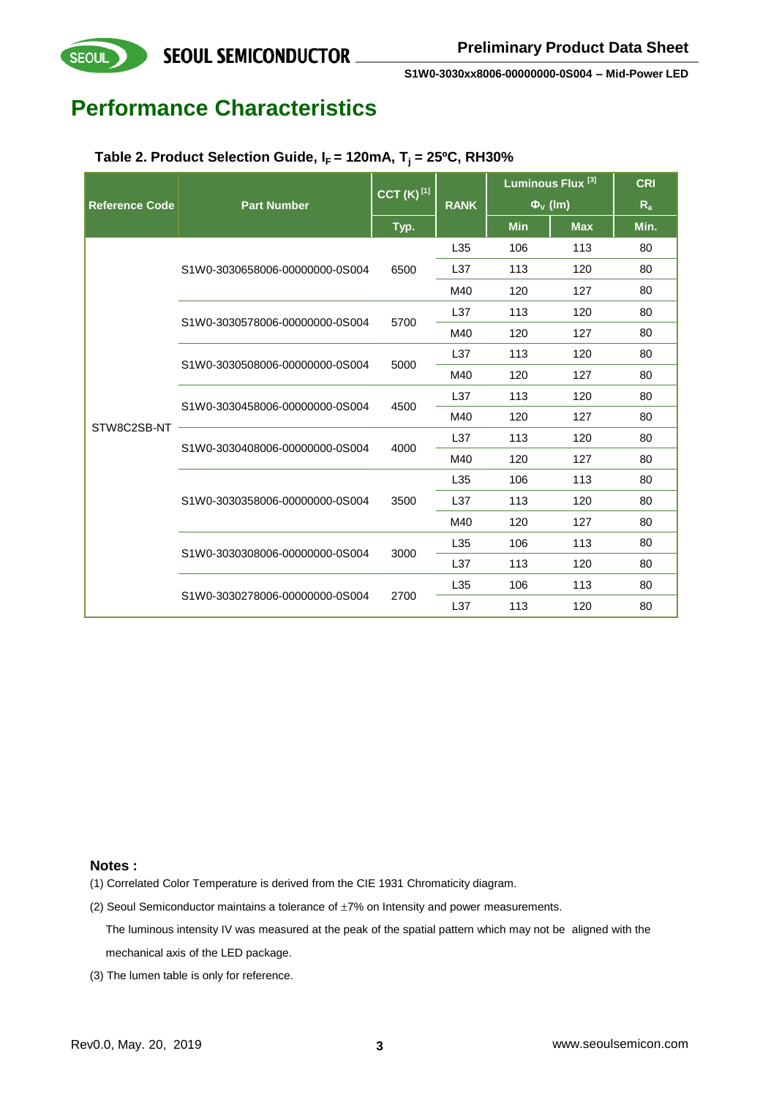## **Performance Characteristics**

| Table 2. Product Selection Guide, $I_F$ = 120mA, $T_i$ = 25°C, RH30% |  |
|----------------------------------------------------------------------|--|
|----------------------------------------------------------------------|--|

|                       |                                | $\overline{\text{CCT}}$ (K) <sup>[1]</sup> |                 | Luminous Flux <sup>[3]</sup> |                          | <b>CRI</b> |
|-----------------------|--------------------------------|--------------------------------------------|-----------------|------------------------------|--------------------------|------------|
| <b>Reference Code</b> | <b>Part Number</b>             |                                            | <b>RANK</b>     |                              | $\Phi$ <sub>V</sub> (Im) | $R_{a}$    |
|                       |                                | Typ.                                       |                 | <b>Min</b>                   | <b>Max</b>               | Min.       |
|                       |                                |                                            | L35             | 106                          | 113                      | 80         |
|                       | S1W0-3030658006-00000000-0S004 | 6500                                       | L <sub>37</sub> | 113                          | 120                      | 80         |
|                       |                                |                                            | M40             | 120                          | 127                      | 80         |
|                       | S1W0-3030578006-00000000-0S004 | 5700                                       | L <sub>37</sub> | 113                          | 120                      | 80         |
|                       |                                |                                            | M40             | 120                          | 127                      | 80         |
|                       | S1W0-3030508006-00000000-0S004 | 5000                                       | L37             | 113                          | 120                      | 80         |
|                       |                                |                                            | M40             | 120                          | 127                      | 80         |
|                       |                                | 4500                                       | L <sub>37</sub> | 113                          | 120                      | 80         |
| STW8C2SB-NT           | S1W0-3030458006-00000000-0S004 |                                            | M40             | 120                          | 127                      | 80         |
|                       | S1W0-3030408006-00000000-0S004 | 4000                                       | L37             | 113                          | 120                      | 80         |
|                       |                                |                                            | M40             | 120                          | 127                      | 80         |
|                       |                                | 3500                                       | L35             | 106                          | 113                      | 80         |
|                       | S1W0-3030358006-00000000-0S004 |                                            | L37             | 113                          | 120                      | 80         |
|                       |                                |                                            | M40             | 120                          | 127                      | 80         |
|                       | S1W0-3030308006-00000000-0S004 |                                            | L35             | 106                          | 113                      | 80         |
|                       |                                | 3000                                       | L37             | 113                          | 120                      | 80         |
|                       |                                |                                            | L35             | 106                          | 113                      | 80         |
|                       | S1W0-3030278006-00000000-0S004 | 2700                                       | L37             | 113                          | 120                      | 80         |

#### **Notes :**

- (1) Correlated Color Temperature is derived from the CIE 1931 Chromaticity diagram.
- (2) Seoul Semiconductor maintains a tolerance of  $\pm 7%$  on Intensity and power measurements.
	- The luminous intensity IV was measured at the peak of the spatial pattern which may not be aligned with the mechanical axis of the LED package.
- (3) The lumen table is only for reference.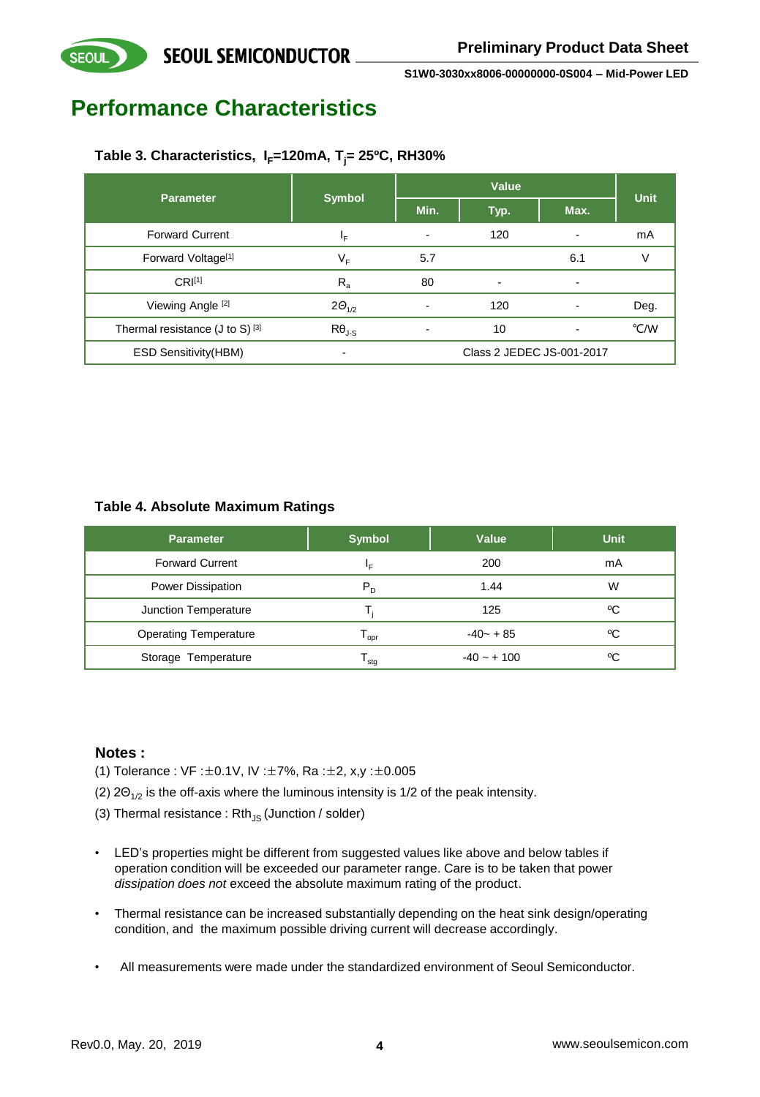## **Performance Characteristics**

**SEOUL** 

### **Table 3. Characteristics, IF=120mA, Tj= 25ºC, RH30%**

| <b>Parameter</b>                     |                 |                          | Unit                      |                |      |
|--------------------------------------|-----------------|--------------------------|---------------------------|----------------|------|
|                                      | <b>Symbol</b>   | Min.                     | Typ.                      | Max.           |      |
| <b>Forward Current</b>               | ΙF              | -                        | 120                       |                | mA   |
| Forward Voltage <sup>[1]</sup>       | V <sub>F</sub>  | 5.7                      |                           | 6.1            |      |
| CRI <sup>[1]</sup>                   | $R_{\rm a}$     | 80                       | $\overline{\phantom{a}}$  | $\,$           |      |
| Viewing Angle [2]                    | $2\Theta_{1/2}$ | $\overline{\phantom{a}}$ | 120                       |                | Deg. |
| Thermal resistance (J to S) $^{[3]}$ | $R\theta_{J-S}$ | $\blacksquare$           | 10                        | $\blacksquare$ | °C/W |
| <b>ESD Sensitivity(HBM)</b>          |                 |                          | Class 2 JEDEC JS-001-2017 |                |      |

### **Table 4. Absolute Maximum Ratings**

| <b>Parameter</b>             | <b>Symbol</b>                | Value         | <b>Unit</b> |
|------------------------------|------------------------------|---------------|-------------|
| <b>Forward Current</b>       | ΙF                           | 200           | mA          |
| Power Dissipation            | $P_{D}$                      | 1.44          | W           |
| Junction Temperature         |                              | 125           | °C          |
| <b>Operating Temperature</b> | $\overline{\phantom{a}}$ opr | $-40 - + 85$  | °C          |
| Storage Temperature          | stq                          | $-40 - + 100$ | °C          |

#### **Notes :**

- (1) Tolerance : VF : $\pm 0.1$ V, IV : $\pm 7$ %, Ra : $\pm 2$ , x,y : $\pm 0.005$
- (2)  $2\Theta_{1/2}$  is the off-axis where the luminous intensity is 1/2 of the peak intensity.
- (3) Thermal resistance :  $Rth_{JS}$  (Junction / solder)
- LED's properties might be different from suggested values like above and below tables if operation condition will be exceeded our parameter range. Care is to be taken that power *dissipation does not* exceed the absolute maximum rating of the product.
- Thermal resistance can be increased substantially depending on the heat sink design/operating condition, and the maximum possible driving current will decrease accordingly.
- All measurements were made under the standardized environment of Seoul Semiconductor.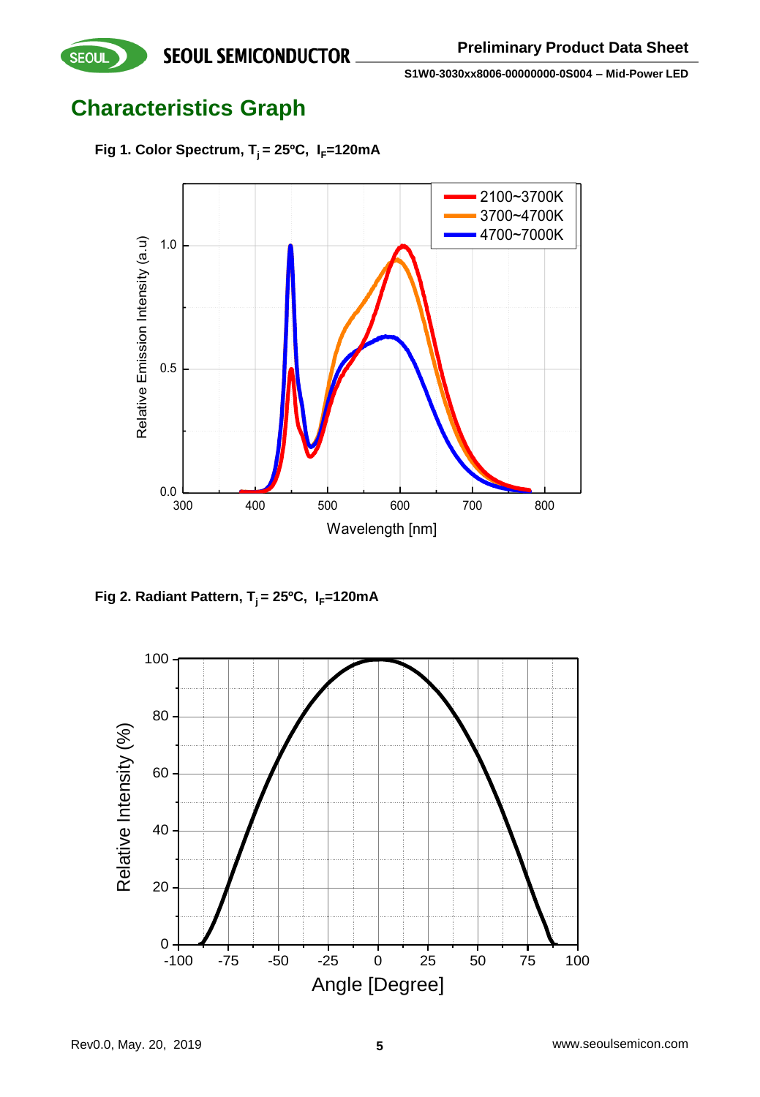**SEOUL** 

**S1W0-3030xx8006-00000000-0S004 – Mid-Power LED**

## **Characteristics Graph**

Fig 1. Color Spectrum,  $T_i = 25^{\circ}C$ ,  $I_F = 120 \text{mA}$ 



**Fig 2. Radiant Pattern,**  $T_i = 25^{\circ}C$ **,**  $I_F = 120 \text{mA}$ 

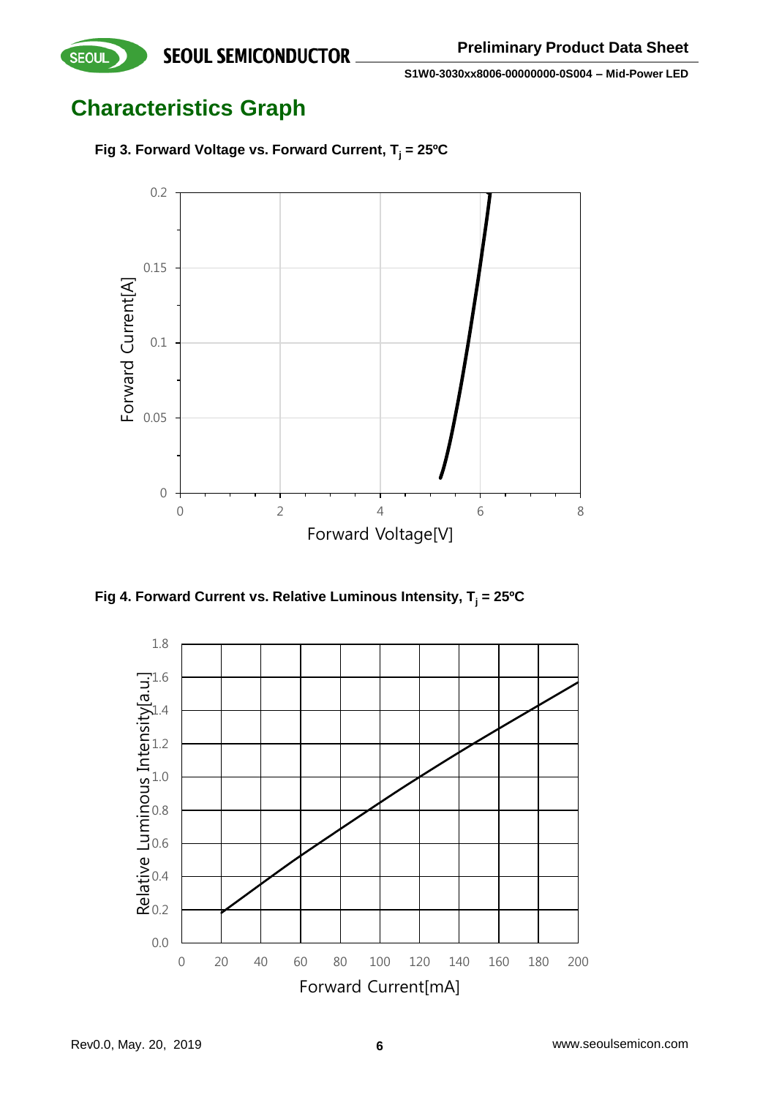**Characteristics Graph**





**Fig 4. Forward Current vs. Relative Luminous Intensity, T<sup>j</sup> = 25ºC**

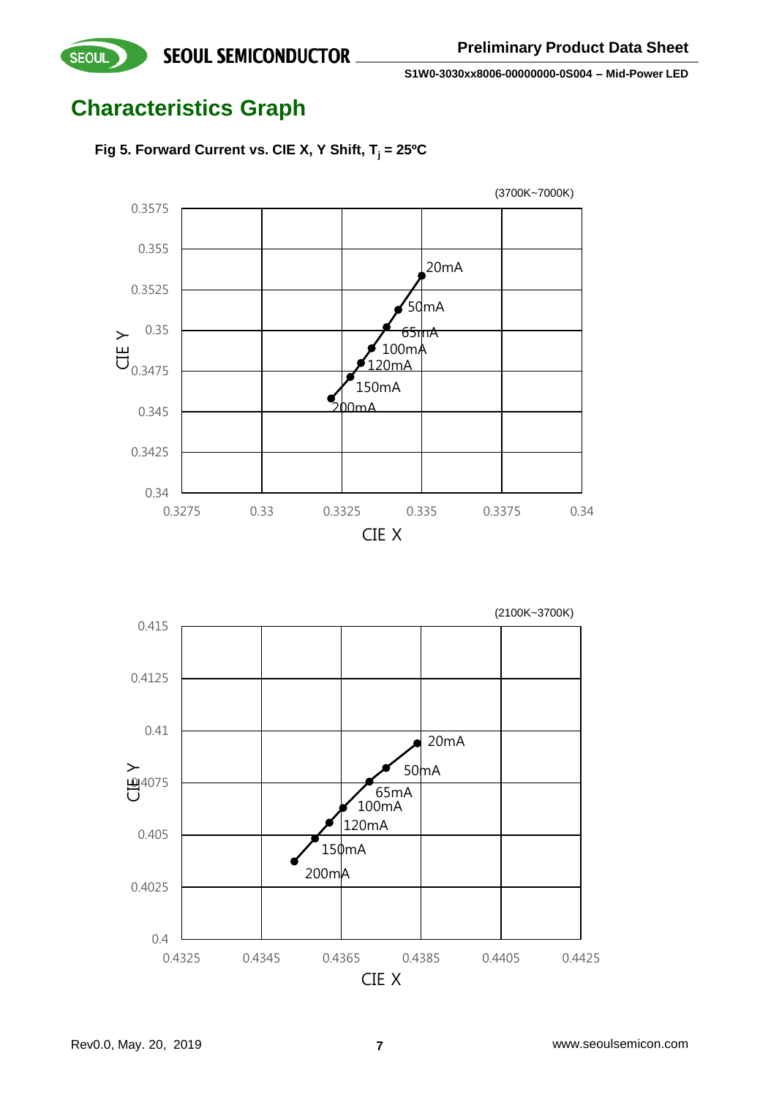## **Characteristics Graph**

**SEOUL** 





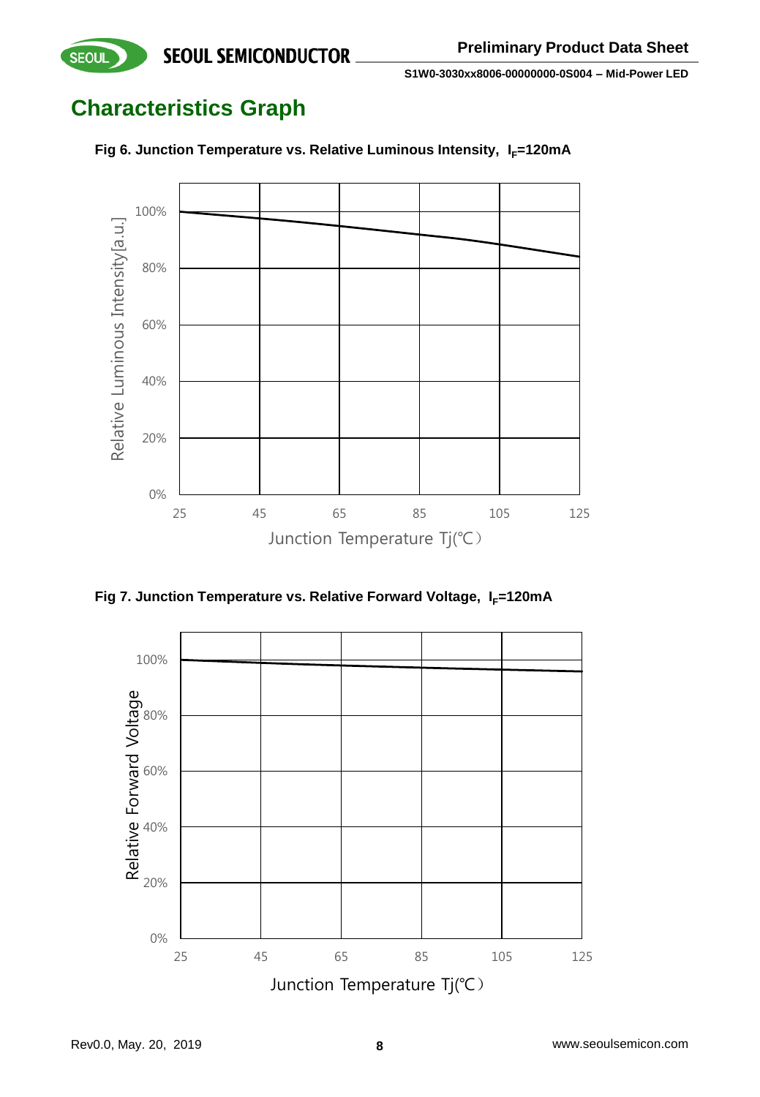## **Characteristics Graph**

**SEOUL** 



Fig 6. Junction Temperature vs. Relative Luminous Intensity, I<sub>F</sub>=120mA

**Fig 7. Junction Temperature vs. Relative Forward Voltage, I<sub>F</sub>=120mA** 

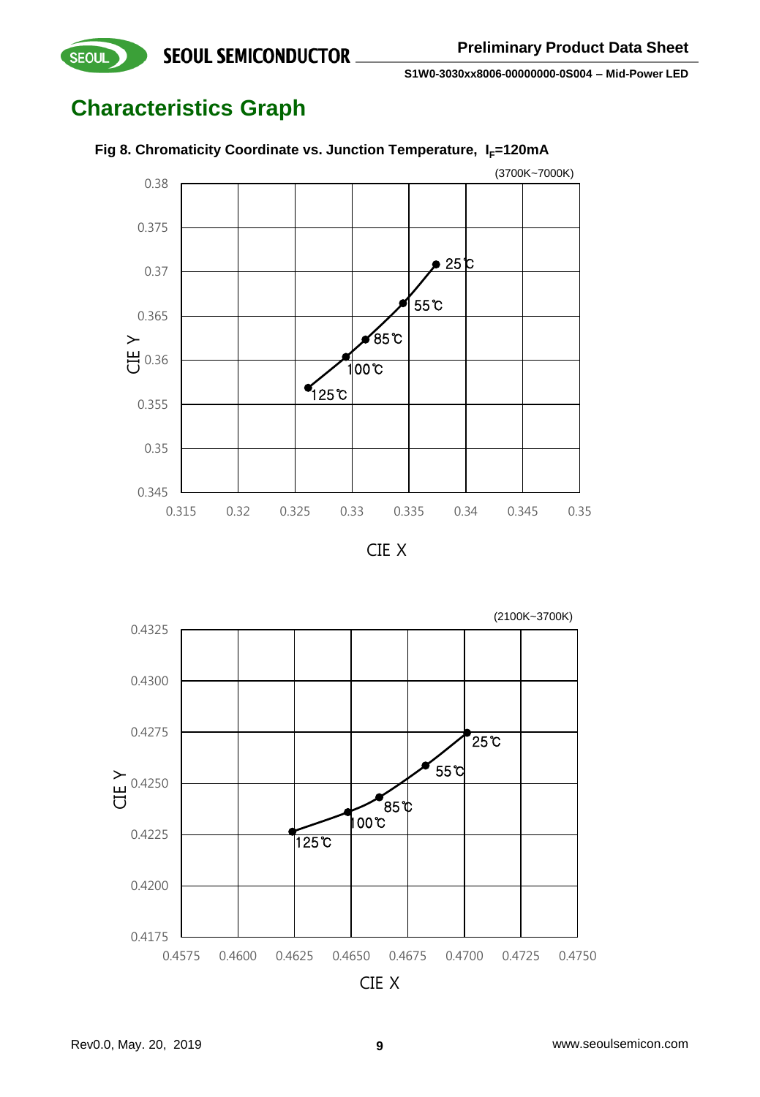## **Characteristics Graph**

**SEOUL** 



### Fig 8. Chromaticity Coordinate vs. Junction Temperature, I<sub>F</sub>=120mA



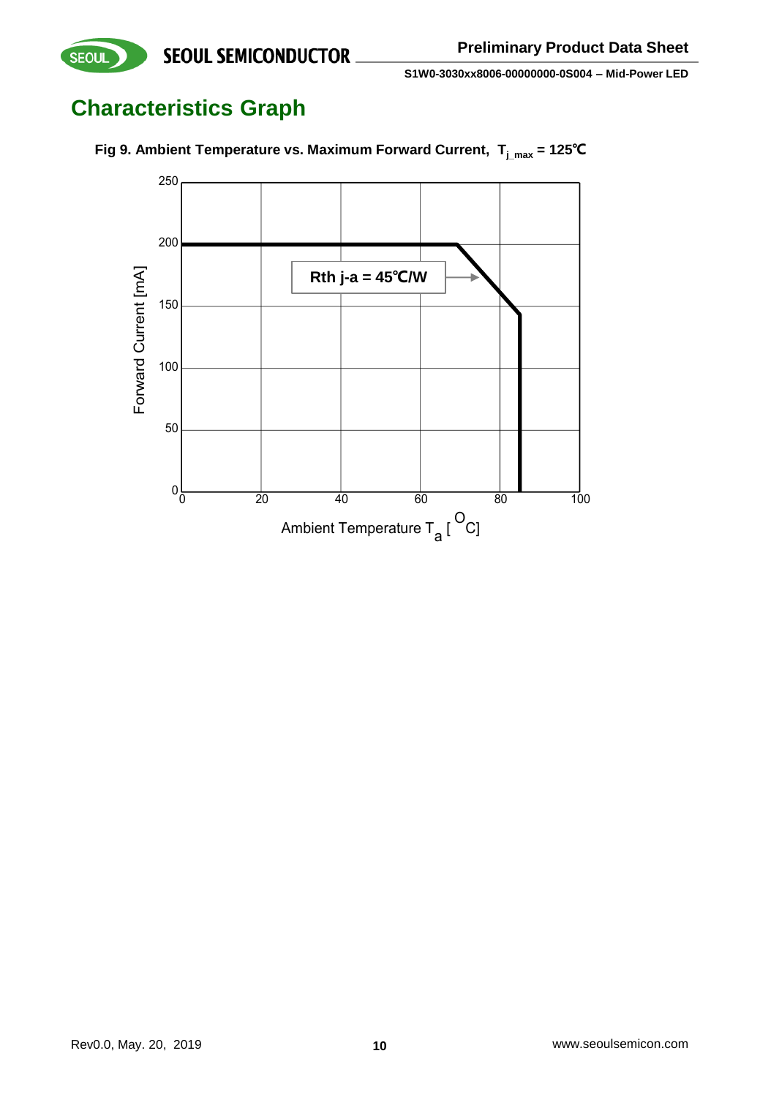## **Characteristics Graph**

**SEOUL** 



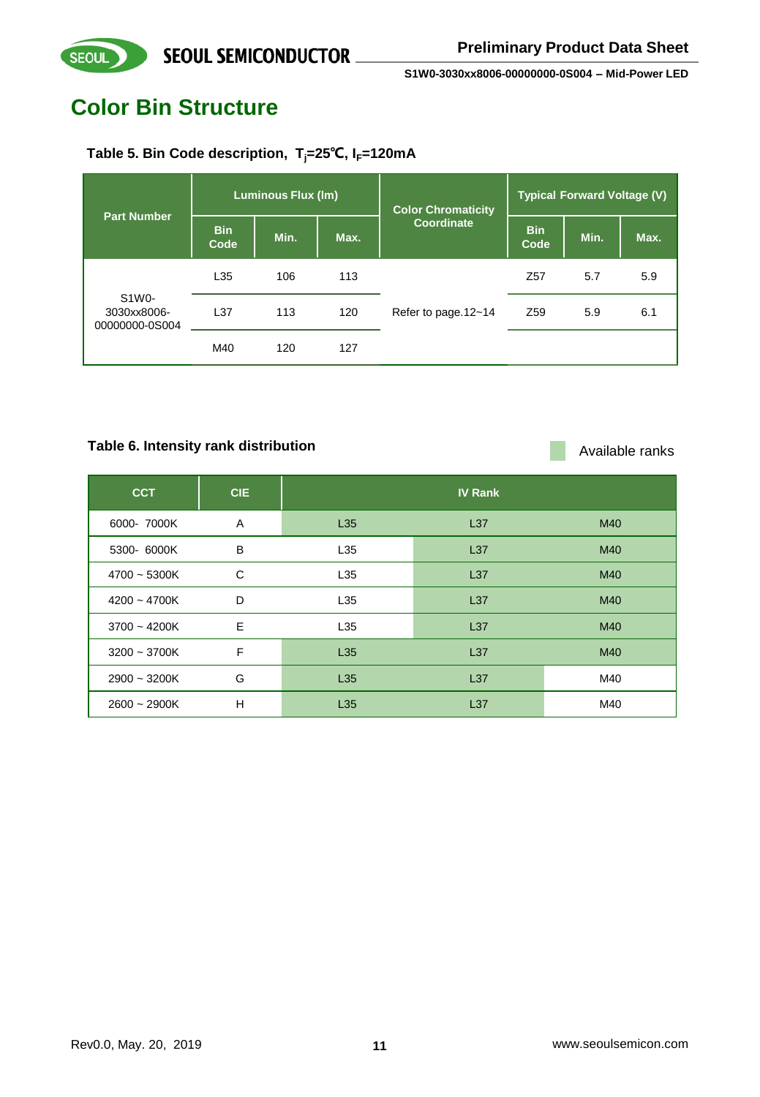## **Color Bin Structure**

SEOUL

### **Table 5. Bin Code description, Tj=25℃, IF=120mA**

| <b>Part Number</b>                     |                    | <b>Luminous Flux (Im)</b> |      | <b>Color Chromaticity</b> | <b>Typical Forward Voltage (V)</b> |      |      |
|----------------------------------------|--------------------|---------------------------|------|---------------------------|------------------------------------|------|------|
|                                        | <b>Bin</b><br>Code | Min.                      | Max. | Coordinate                | <b>Bin</b><br>Code                 | Min. | Max. |
|                                        | L35                | 106                       | 113  | Refer to page.12~14       | Z <sub>57</sub>                    | 5.7  | 5.9  |
| S1W0-<br>3030xx8006-<br>00000000-0S004 | L <sub>37</sub>    | 113                       | 120  |                           | Z <sub>59</sub>                    | 5.9  | 6.1  |
|                                        | M40                | 120                       | 127  |                           |                                    |      |      |

### Table 6. Intensity rank distribution **Available ranks** Available ranks

| <b>CCT</b>     | <b>CIE</b> |     | <b>IV Rank</b>  |     |
|----------------|------------|-----|-----------------|-----|
| 6000- 7000K    | A          | L35 | L <sub>37</sub> | M40 |
| 5300- 6000K    | B          | L35 | L <sub>37</sub> | M40 |
| $4700 - 5300K$ | C          | L35 | L <sub>37</sub> | M40 |
| $4200 - 4700K$ | D          | L35 | L <sub>37</sub> | M40 |
| $3700 - 4200K$ | E          | L35 | L <sub>37</sub> | M40 |
| $3200 - 3700K$ | F          | L35 | L <sub>37</sub> | M40 |
| $2900 - 3200K$ | G          | L35 | L <sub>37</sub> | M40 |
| $2600 - 2900K$ | н          | L35 | L <sub>37</sub> | M40 |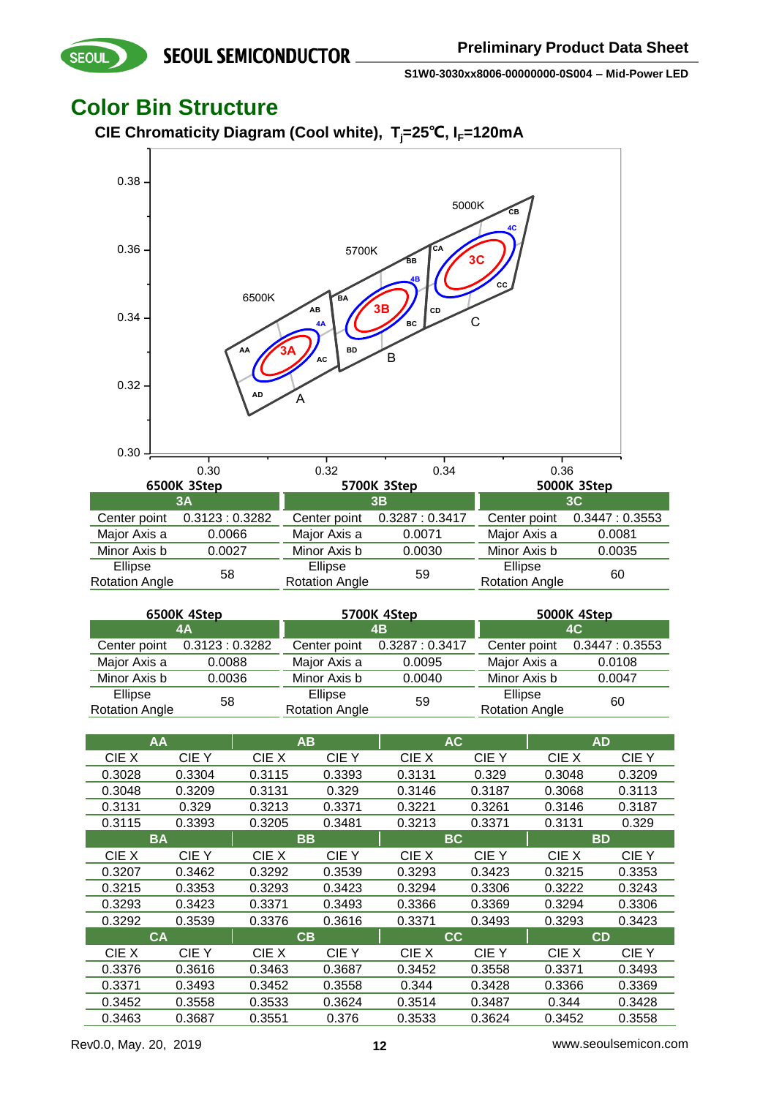### **Color Bin Structure**

**SEOUL** 

**CIE Chromaticity Diagram (Cool white), Tj=25℃, IF=120mA**



| 6500K 4Step                      |               | 5700K 4Step                      |                              | 5000K 4Step                      |               |
|----------------------------------|---------------|----------------------------------|------------------------------|----------------------------------|---------------|
|                                  | 4A            | 4B                               |                              |                                  | 4C            |
| Center point                     | 0.3123:0.3282 |                                  | Center point 0.3287 : 0.3417 | Center point                     | 0.3447:0.3553 |
| Major Axis a                     | 0.0088        | Major Axis a                     | 0.0095                       | Major Axis a                     | 0.0108        |
| Minor Axis b                     | 0.0036        | Minor Axis b                     | 0.0040                       | Minor Axis b                     | 0.0047        |
| Ellipse<br><b>Rotation Angle</b> | 58            | Ellipse<br><b>Rotation Angle</b> | 59                           | Ellipse<br><b>Rotation Angle</b> | 60            |

| AA     |           |        | AB     | <b>AC</b> |        | <b>AD</b> |        |
|--------|-----------|--------|--------|-----------|--------|-----------|--------|
| CIE X  | CIE Y     | CIE X  | CIE Y  | CIE X     | CIE Y  | CIE X     | CIE Y  |
| 0.3028 | 0.3304    | 0.3115 | 0.3393 | 0.3131    | 0.329  | 0.3048    | 0.3209 |
| 0.3048 | 0.3209    | 0.3131 | 0.329  | 0.3146    | 0.3187 | 0.3068    | 0.3113 |
| 0.3131 | 0.329     | 0.3213 | 0.3371 | 0.3221    | 0.3261 | 0.3146    | 0.3187 |
| 0.3115 | 0.3393    | 0.3205 | 0.3481 | 0.3213    | 0.3371 | 0.3131    | 0.329  |
|        | <b>BA</b> |        | BB     | <b>BC</b> |        | <b>BD</b> |        |
| CIE X  | CIE Y     | CIE X  | CIE Y  | CIE X     | CIE Y  | CIE X     | CIE Y  |
| 0.3207 | 0.3462    | 0.3292 | 0.3539 | 0.3293    | 0.3423 | 0.3215    | 0.3353 |
| 0.3215 | 0.3353    | 0.3293 | 0.3423 | 0.3294    | 0.3306 | 0.3222    | 0.3243 |
| 0.3293 | 0.3423    | 0.3371 | 0.3493 | 0.3366    | 0.3369 | 0.3294    | 0.3306 |
| 0.3292 | 0.3539    | 0.3376 | 0.3616 | 0.3371    | 0.3493 | 0.3293    | 0.3423 |
|        | <b>CA</b> |        | CВ     |           | CC.    | <b>CD</b> |        |
| CIE X  | CIE Y     | CIE X  | CIE Y  | CIE X     | CIE Y  | CIE X     | CIE Y  |
| 0.3376 | 0.3616    | 0.3463 | 0.3687 | 0.3452    | 0.3558 | 0.3371    | 0.3493 |
| 0.3371 | 0.3493    | 0.3452 | 0.3558 | 0.344     | 0.3428 | 0.3366    | 0.3369 |
| 0.3452 | 0.3558    | 0.3533 | 0.3624 | 0.3514    | 0.3487 | 0.344     | 0.3428 |
| 0.3463 | 0.3687    | 0.3551 | 0.376  | 0.3533    | 0.3624 | 0.3452    | 0.3558 |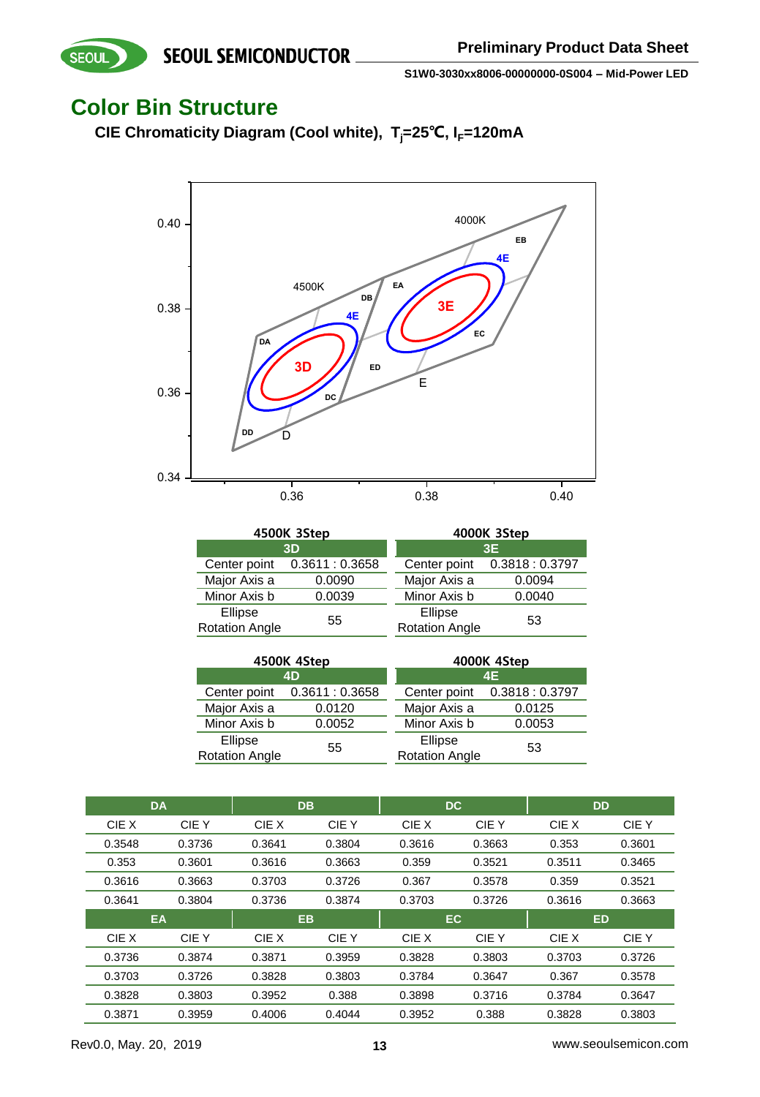### **Color Bin Structure**

SEOUL

**CIE Chromaticity Diagram (Cool white), Tj=25℃, IF=120mA**



|                                  | 4500K 3Step   | 4000K 3Step                      |               |  |
|----------------------------------|---------------|----------------------------------|---------------|--|
|                                  | 3D            | 3E                               |               |  |
| Center point                     | 0.3611:0.3658 | Center point                     | 0.3818:0.3797 |  |
| Major Axis a                     | 0.0090        | Major Axis a                     | 0.0094        |  |
| Minor Axis b                     | 0.0039        | Minor Axis b                     | 0.0040        |  |
| Ellipse<br><b>Rotation Angle</b> | 55            | Ellipse<br><b>Rotation Angle</b> | 53            |  |

|                                  | 4500K 4Step     | 4000K 4Step                      |               |  |
|----------------------------------|-----------------|----------------------------------|---------------|--|
|                                  | 4D              | 4E                               |               |  |
| Center point                     | 0.3611 : 0.3658 | Center point                     | 0.3818:0.3797 |  |
| Major Axis a                     | 0.0120          | Major Axis a                     | 0.0125        |  |
| Minor Axis b                     | 0.0052          | Minor Axis b                     | 0.0053        |  |
| Ellipse<br><b>Rotation Angle</b> | 55              | Ellipse<br><b>Rotation Angle</b> | 53            |  |

|        | <b>DA</b> |        | <b>DB</b> | <b>DC</b> |        | <b>DD</b> |        |
|--------|-----------|--------|-----------|-----------|--------|-----------|--------|
| CIE X  | CIE Y     | CIE X  | CIE Y     | CIE X     | CIE Y  | CIE X     | CIE Y  |
| 0.3548 | 0.3736    | 0.3641 | 0.3804    | 0.3616    | 0.3663 | 0.353     | 0.3601 |
| 0.353  | 0.3601    | 0.3616 | 0.3663    | 0.359     | 0.3521 | 0.3511    | 0.3465 |
| 0.3616 | 0.3663    | 0.3703 | 0.3726    | 0.367     | 0.3578 | 0.359     | 0.3521 |
| 0.3641 | 0.3804    | 0.3736 | 0.3874    | 0.3703    | 0.3726 | 0.3616    | 0.3663 |
|        |           |        |           |           |        |           |        |
|        | EA        |        | <b>EB</b> | EC        |        | <b>ED</b> |        |
| CIE X  | CIE Y     | CIE X  | CIE Y     | CIE X     | CIE Y  | CIE X     | CIE Y  |
| 0.3736 | 0.3874    | 0.3871 | 0.3959    | 0.3828    | 0.3803 | 0.3703    | 0.3726 |
| 0.3703 | 0.3726    | 0.3828 | 0.3803    | 0.3784    | 0.3647 | 0.367     | 0.3578 |
| 0.3828 | 0.3803    | 0.3952 | 0.388     | 0.3898    | 0.3716 | 0.3784    | 0.3647 |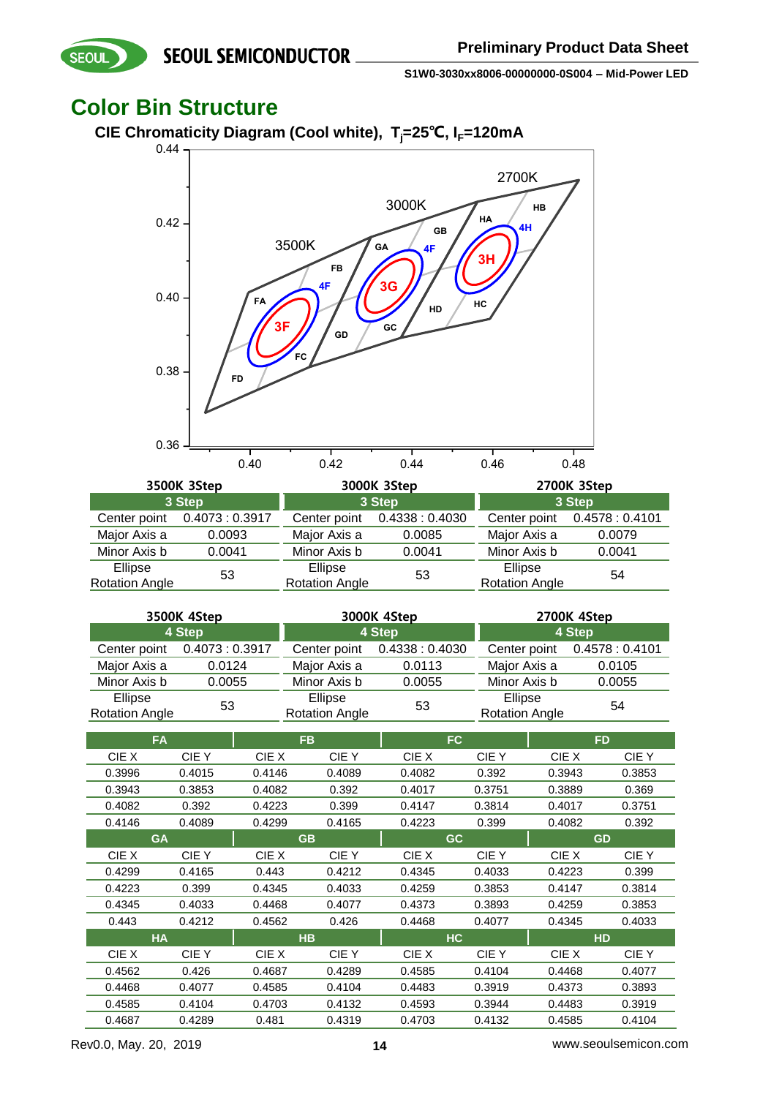### **Color Bin Structure**

SEOUL

0.36



|                       | 0.40          | 0.42                  | 0.44                         | 0.46                  | 0.48          |  |
|-----------------------|---------------|-----------------------|------------------------------|-----------------------|---------------|--|
|                       | 3500K 3Step   |                       | 3000K 3Step                  | 2700K 3Step           |               |  |
|                       | 3 Step        |                       | 3 Step                       | 3 Step                |               |  |
| Center point          | 0.4073:0.3917 |                       | Center point 0.4338 : 0.4030 | Center point          | 0.4578:0.4101 |  |
| Major Axis a          | 0.0093        | Major Axis a          | 0.0085                       | Major Axis a          | 0.0079        |  |
| Minor Axis b          | 0.0041        | Minor Axis b          | 0.0041                       | Minor Axis b          | 0.0041        |  |
| Ellipse               | 53            | Ellipse               | 53                           | Ellipse               | 54            |  |
| <b>Rotation Angle</b> |               | <b>Rotation Angle</b> |                              | <b>Rotation Angle</b> |               |  |

| 3500K 4Step           |               | 3000K 4Step           |                              | 2700K 4Step           |                 |  |
|-----------------------|---------------|-----------------------|------------------------------|-----------------------|-----------------|--|
| 4 Step                |               | 4 Step                |                              | 4 Step                |                 |  |
| Center point          | 0.4073:0.3917 |                       | Center point 0.4338 : 0.4030 | Center point          | 0.4578 : 0.4101 |  |
| Major Axis a          | 0.0124        | Major Axis a          | 0.0113                       | Major Axis a          | 0.0105          |  |
| Minor Axis b          | 0.0055        | Minor Axis b          | 0.0055                       | Minor Axis b          | 0.0055          |  |
| Ellipse               | 53            | Ellipse               | 53                           | Ellipse               | 54              |  |
| <b>Rotation Angle</b> |               | <b>Rotation Angle</b> |                              | <b>Rotation Angle</b> |                 |  |

|        | <b>FA</b>   |        | <b>FB</b>   |        | FC     | <b>FD</b> |             |
|--------|-------------|--------|-------------|--------|--------|-----------|-------------|
| CIE X  | CIE Y       | CIE X  | CIE Y       | CIE X  | CIE Y  | CIE X     | <b>CIEY</b> |
| 0.3996 | 0.4015      | 0.4146 | 0.4089      | 0.4082 | 0.392  | 0.3943    | 0.3853      |
| 0.3943 | 0.3853      | 0.4082 | 0.392       | 0.4017 | 0.3751 | 0.3889    | 0.369       |
| 0.4082 | 0.392       | 0.4223 | 0.399       | 0.4147 | 0.3814 | 0.4017    | 0.3751      |
| 0.4146 | 0.4089      | 0.4299 | 0.4165      | 0.4223 | 0.399  | 0.4082    | 0.392       |
|        | <b>GA</b>   |        | <b>GB</b>   | GC.    |        | <b>GD</b> |             |
| CIE X  | CIE Y       | CIE X  | CIE Y       | CIE X  | CIE Y  | CIE X     | CIE Y       |
| 0.4299 | 0.4165      | 0.443  | 0.4212      | 0.4345 | 0.4033 | 0.4223    | 0.399       |
| 0.4223 | 0.399       | 0.4345 | 0.4033      | 0.4259 | 0.3853 | 0.4147    | 0.3814      |
| 0.4345 | 0.4033      | 0.4468 | 0.4077      | 0.4373 | 0.3893 | 0.4259    | 0.3853      |
| 0.443  | 0.4212      | 0.4562 | 0.426       | 0.4468 | 0.4077 | 0.4345    | 0.4033      |
|        | <b>HA</b>   |        | <b>HB</b>   | HC.    |        | <b>HD</b> |             |
| CIE X  | <b>CIEY</b> | CIE X  | <b>CIEY</b> | CIE X  | CIE Y  | CIE X     | <b>CIEY</b> |
| 0.4562 | 0.426       | 0.4687 | 0.4289      | 0.4585 | 0.4104 | 0.4468    | 0.4077      |
| 0.4468 | 0.4077      | 0.4585 | 0.4104      | 0.4483 | 0.3919 | 0.4373    | 0.3893      |
| 0.4585 | 0.4104      | 0.4703 | 0.4132      | 0.4593 | 0.3944 | 0.4483    | 0.3919      |
| 0.4687 | 0.4289      | 0.481  | 0.4319      | 0.4703 | 0.4132 | 0.4585    | 0.4104      |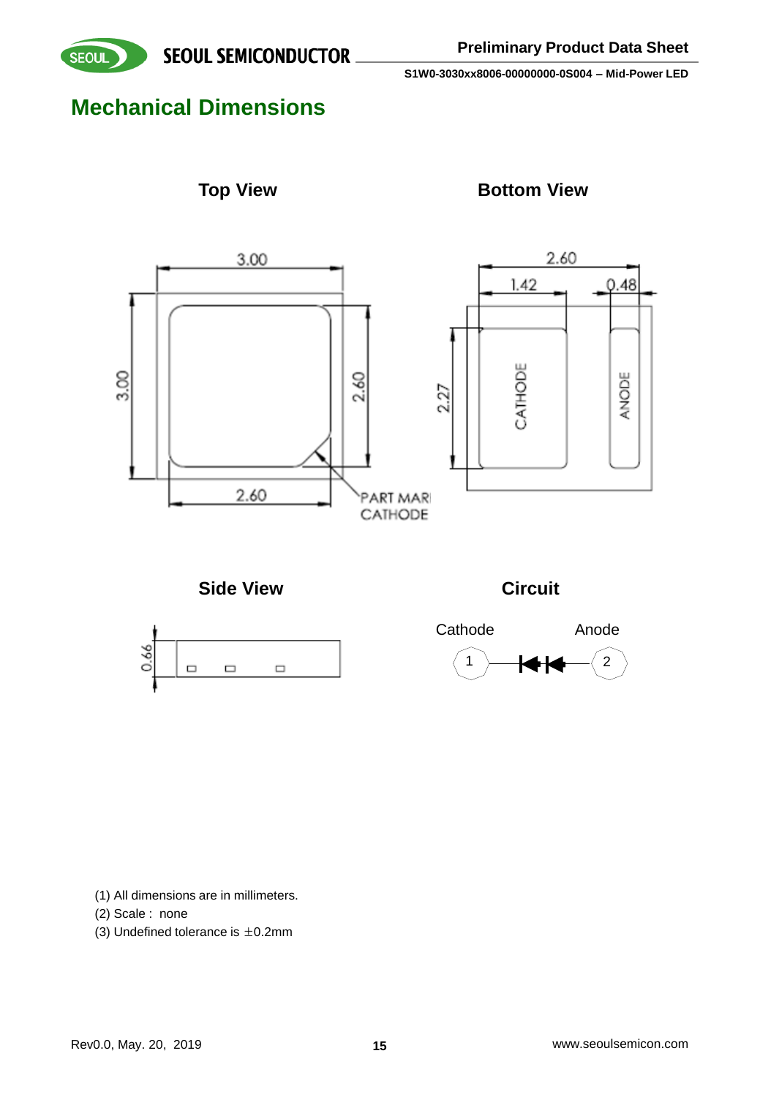

## **Mechanical Dimensions**



### **Top View <b>Bottom View**



**Side View Circuit**







(1) All dimensions are in millimeters.

(2) Scale : none

(3) Undefined tolerance is  $\pm$ 0.2mm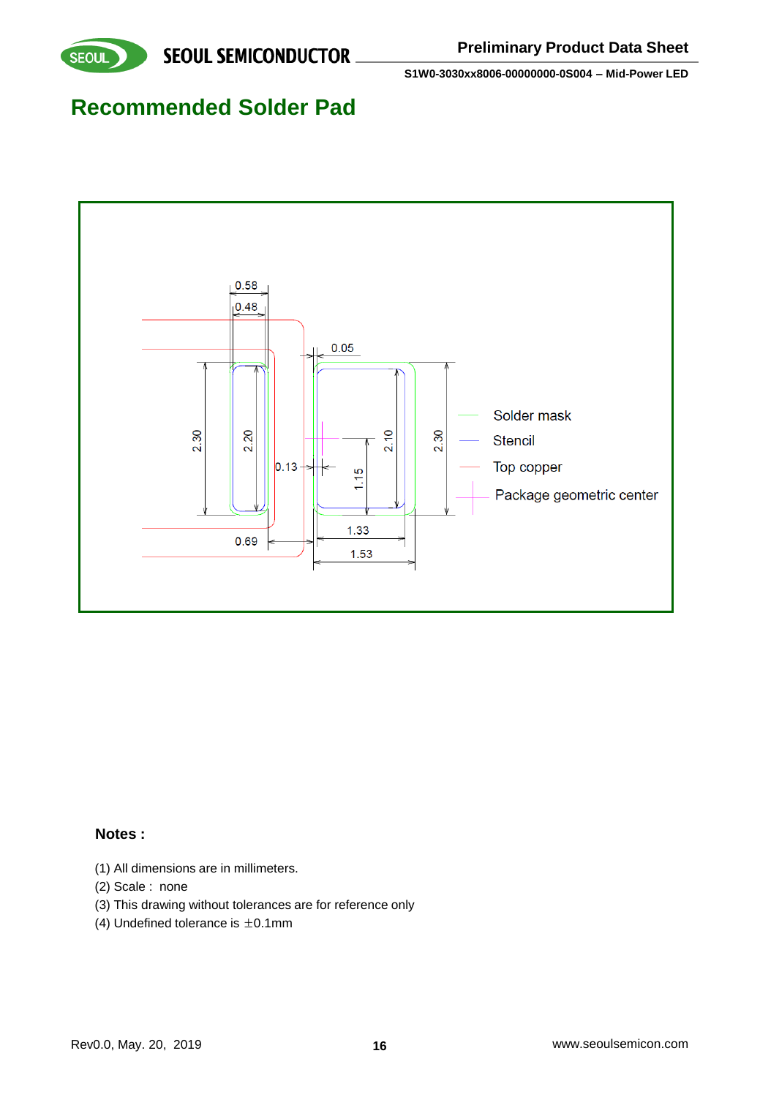

### **Recommended Solder Pad**



#### **Notes :**

- (1) All dimensions are in millimeters.
- (2) Scale : none
- (3) This drawing without tolerances are for reference only
- (4) Undefined tolerance is  $\pm 0.1$ mm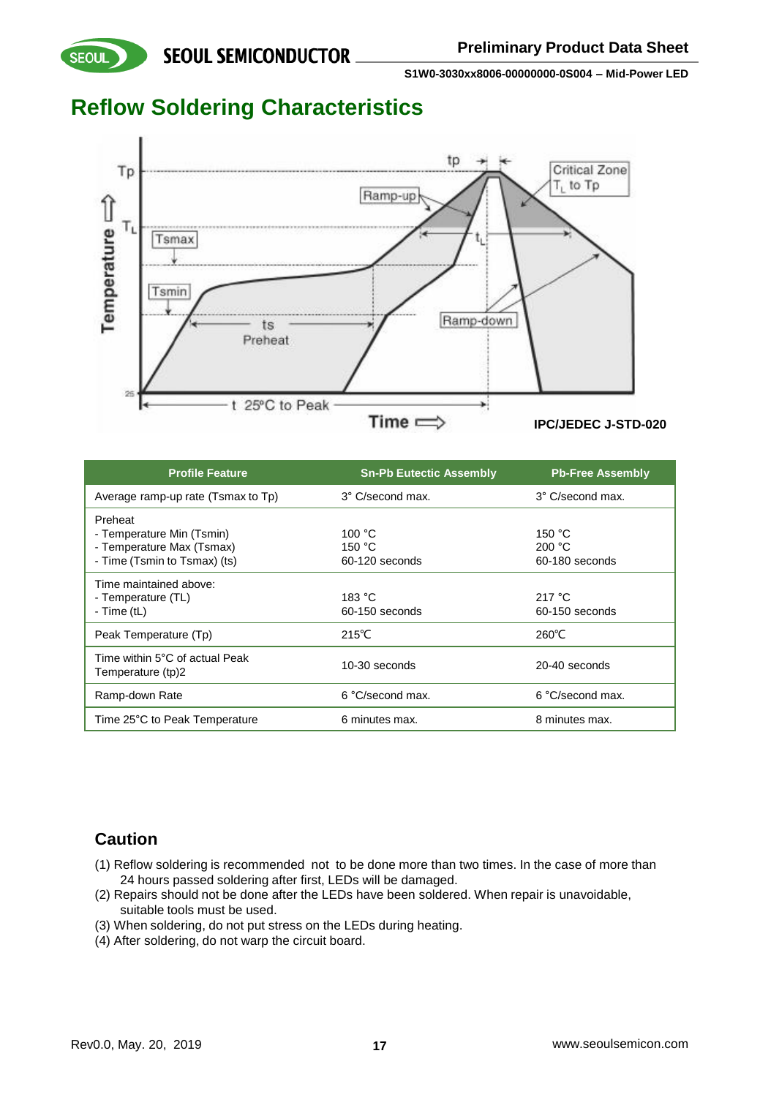**SEOUL** 

**S1W0-3030xx8006-00000000-0S004 – Mid-Power LED**

## **Reflow Soldering Characteristics**



| <b>Profile Feature</b>                                        | <b>Sn-Pb Eutectic Assembly</b> | <b>Pb-Free Assembly</b>    |
|---------------------------------------------------------------|--------------------------------|----------------------------|
| Average ramp-up rate (Tsmax to Tp)                            | 3° C/second max.               | 3° C/second max.           |
| Preheat<br>- Temperature Min (Tsmin)                          | 100 °C                         | 150 $^{\circ}$ C           |
| - Temperature Max (Tsmax)<br>- Time (Tsmin to Tsmax) (ts)     | 150 °C<br>60-120 seconds       | 200 °C<br>60-180 seconds   |
| Time maintained above:<br>- Temperature (TL)<br>- Time $(tL)$ | 183 °C<br>$60-150$ seconds     | 217 °C<br>$60-150$ seconds |
| Peak Temperature (Tp)                                         | $215^{\circ}$ C                | $260^{\circ}$ C            |
| Time within 5°C of actual Peak<br>Temperature (tp)2           | 10-30 seconds                  | 20-40 seconds              |
| Ramp-down Rate                                                | 6 °C/second max.               | 6 °C/second max.           |
| Time 25°C to Peak Temperature                                 | 6 minutes max.                 | 8 minutes max.             |

### **Caution**

- (1) Reflow soldering is recommended not to be done more than two times. In the case of more than 24 hours passed soldering after first, LEDs will be damaged.
- (2) Repairs should not be done after the LEDs have been soldered. When repair is unavoidable, suitable tools must be used.
- (3) When soldering, do not put stress on the LEDs during heating.
- (4) After soldering, do not warp the circuit board.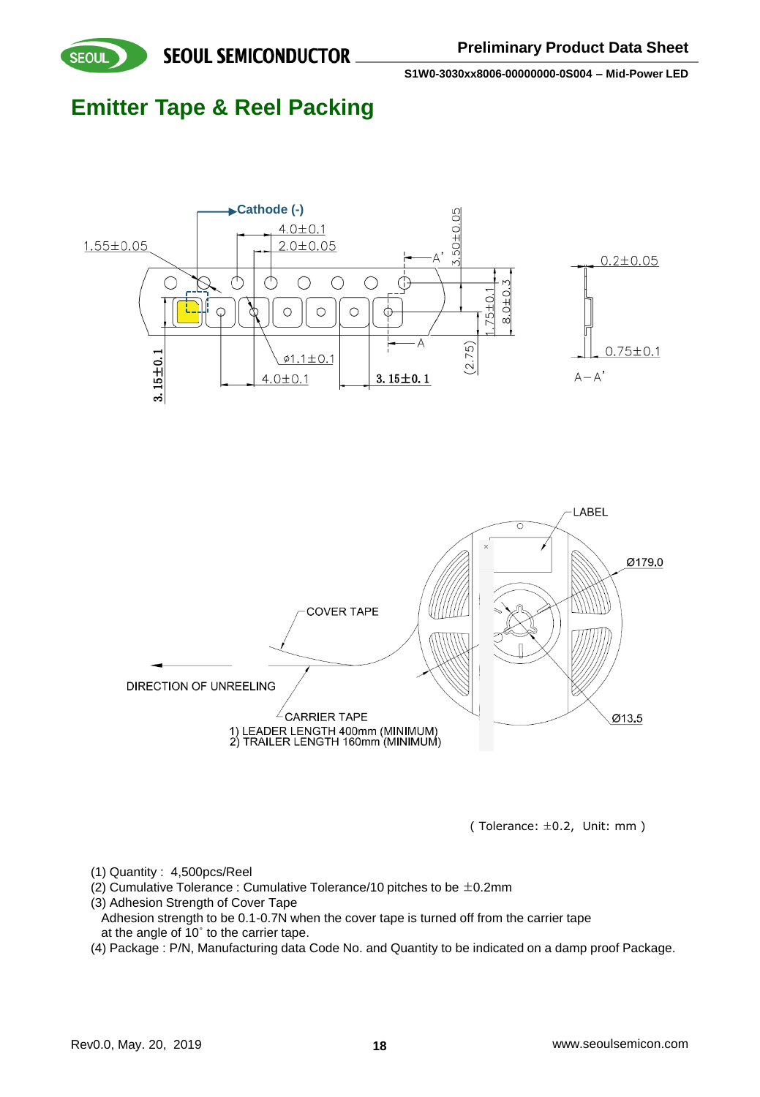

## **Emitter Tape & Reel Packing**





(Tolerance:  $\pm 0.2$ , Unit: mm )

- (1) Quantity : 4,500pcs/Reel
- (2) Cumulative Tolerance : Cumulative Tolerance/10 pitches to be  $\pm$ 0.2mm
- (3) Adhesion Strength of Cover Tape
- Adhesion strength to be 0.1-0.7N when the cover tape is turned off from the carrier tape at the angle of 10˚ to the carrier tape.
- (4) Package : P/N, Manufacturing data Code No. and Quantity to be indicated on a damp proof Package.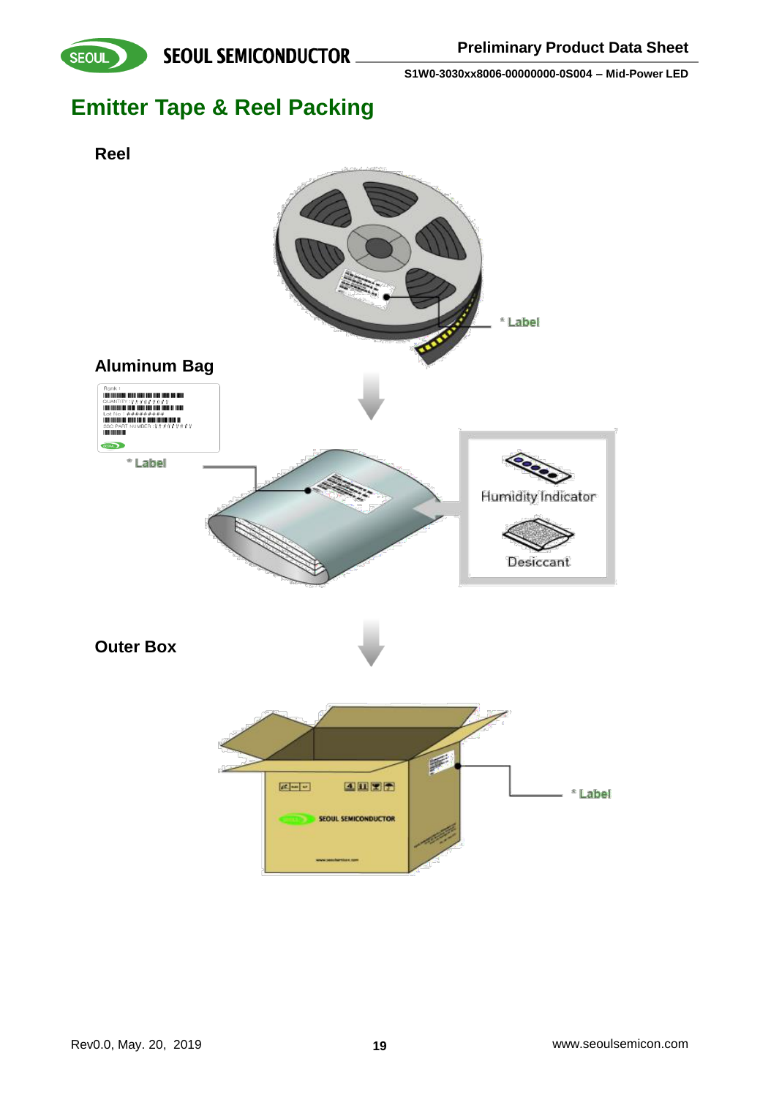



## **Emitter Tape & Reel Packing**

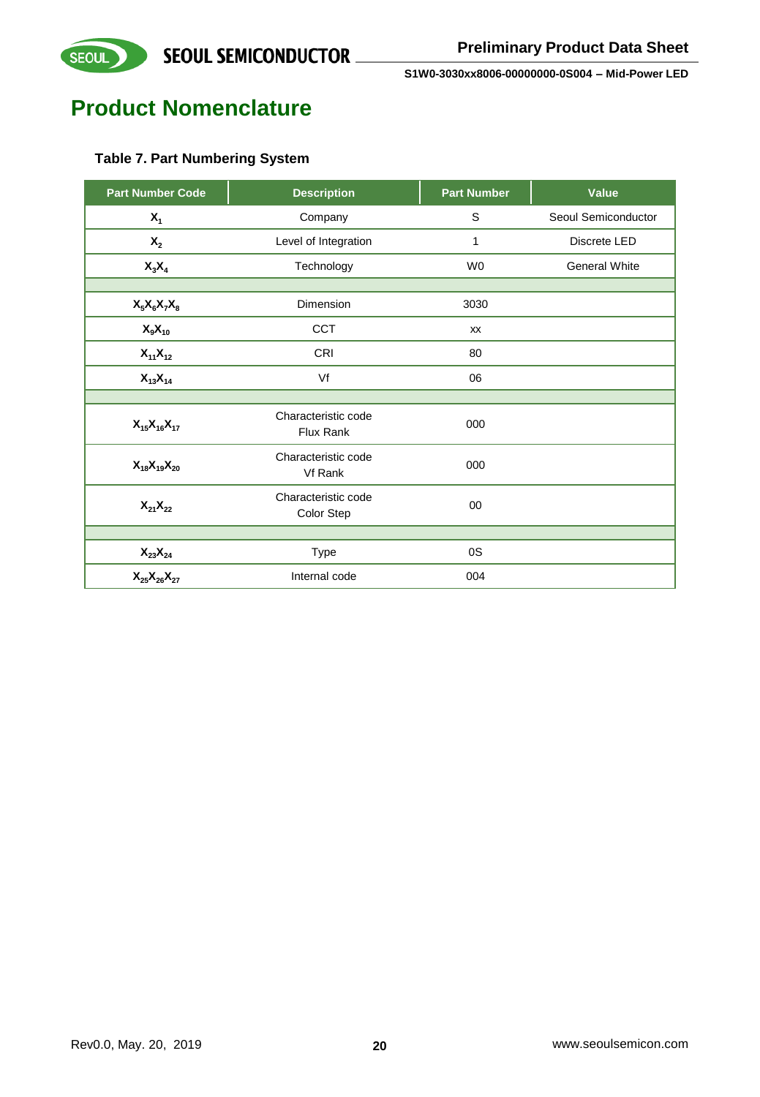

## **Product Nomenclature**

### **Table 7. Part Numbering System**

| <b>Part Number Code</b>          | <b>Description</b>                | <b>Part Number</b> | <b>Value</b>         |
|----------------------------------|-----------------------------------|--------------------|----------------------|
| $X_1$                            | Company                           | S                  | Seoul Semiconductor  |
| $\mathsf{X}_2$                   | Level of Integration              | 1                  | Discrete LED         |
| $X_3X_4$                         | Technology                        | W <sub>0</sub>     | <b>General White</b> |
|                                  |                                   |                    |                      |
| $X_5X_6X_7X_8$                   | Dimension                         | 3030               |                      |
| $X_9X_{10}$                      | <b>CCT</b>                        | <b>XX</b>          |                      |
| $X_{11}X_{12}$                   | <b>CRI</b>                        | 80                 |                      |
| $X_{13}X_{14}$                   | Vf                                | 06                 |                      |
|                                  |                                   |                    |                      |
| $X_{15}X_{16}X_{17}$             | Characteristic code<br>Flux Rank  | 000                |                      |
| $X_{18}X_{19}X_{20}$             | Characteristic code<br>Vf Rank    | 000                |                      |
| $X_{21}X_{22}$                   | Characteristic code<br>Color Step | 00                 |                      |
|                                  |                                   |                    |                      |
| $\mathsf{X}_{23}\mathsf{X}_{24}$ | Type                              | 0S                 |                      |
| $X_{25}X_{26}X_{27}$             | Internal code                     | 004                |                      |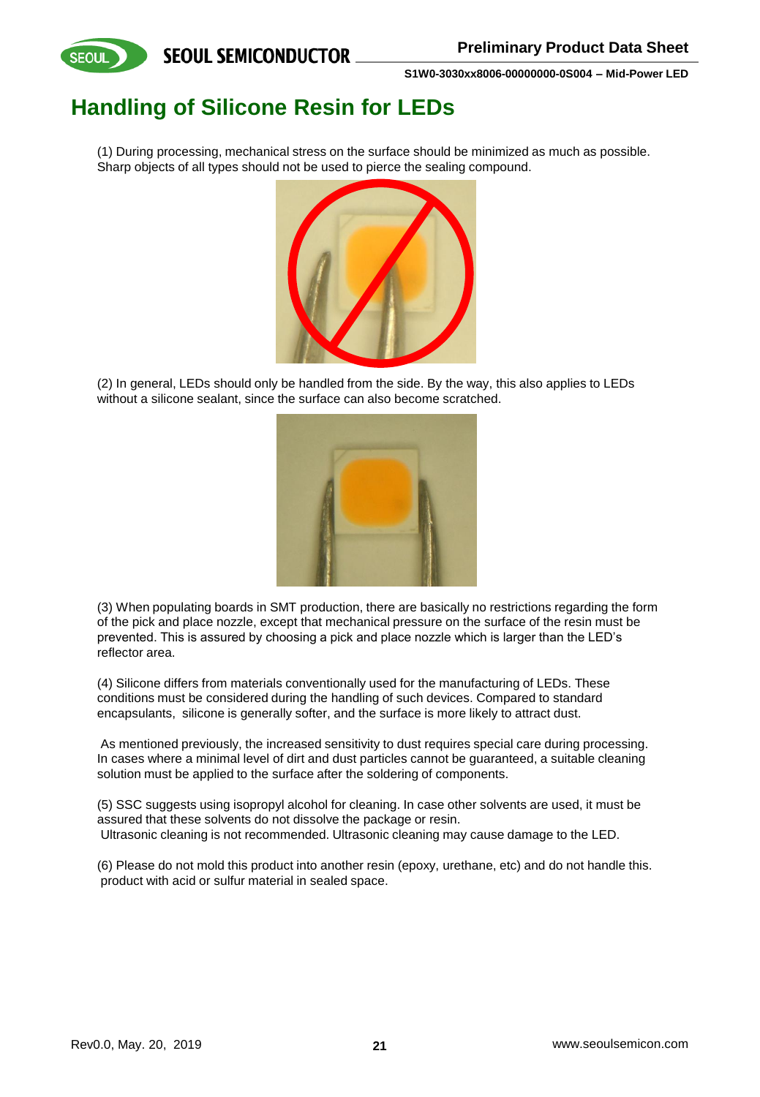

## **Handling of Silicone Resin for LEDs**

(1) During processing, mechanical stress on the surface should be minimized as much as possible. Sharp objects of all types should not be used to pierce the sealing compound.



(2) In general, LEDs should only be handled from the side. By the way, this also applies to LEDs without a silicone sealant, since the surface can also become scratched.



(3) When populating boards in SMT production, there are basically no restrictions regarding the form of the pick and place nozzle, except that mechanical pressure on the surface of the resin must be prevented. This is assured by choosing a pick and place nozzle which is larger than the LED's reflector area.

(4) Silicone differs from materials conventionally used for the manufacturing of LEDs. These conditions must be considered during the handling of such devices. Compared to standard encapsulants, silicone is generally softer, and the surface is more likely to attract dust.

As mentioned previously, the increased sensitivity to dust requires special care during processing. In cases where a minimal level of dirt and dust particles cannot be guaranteed, a suitable cleaning solution must be applied to the surface after the soldering of components.

(5) SSC suggests using isopropyl alcohol for cleaning. In case other solvents are used, it must be assured that these solvents do not dissolve the package or resin. Ultrasonic cleaning is not recommended. Ultrasonic cleaning may cause damage to the LED.

(6) Please do not mold this product into another resin (epoxy, urethane, etc) and do not handle this. product with acid or sulfur material in sealed space.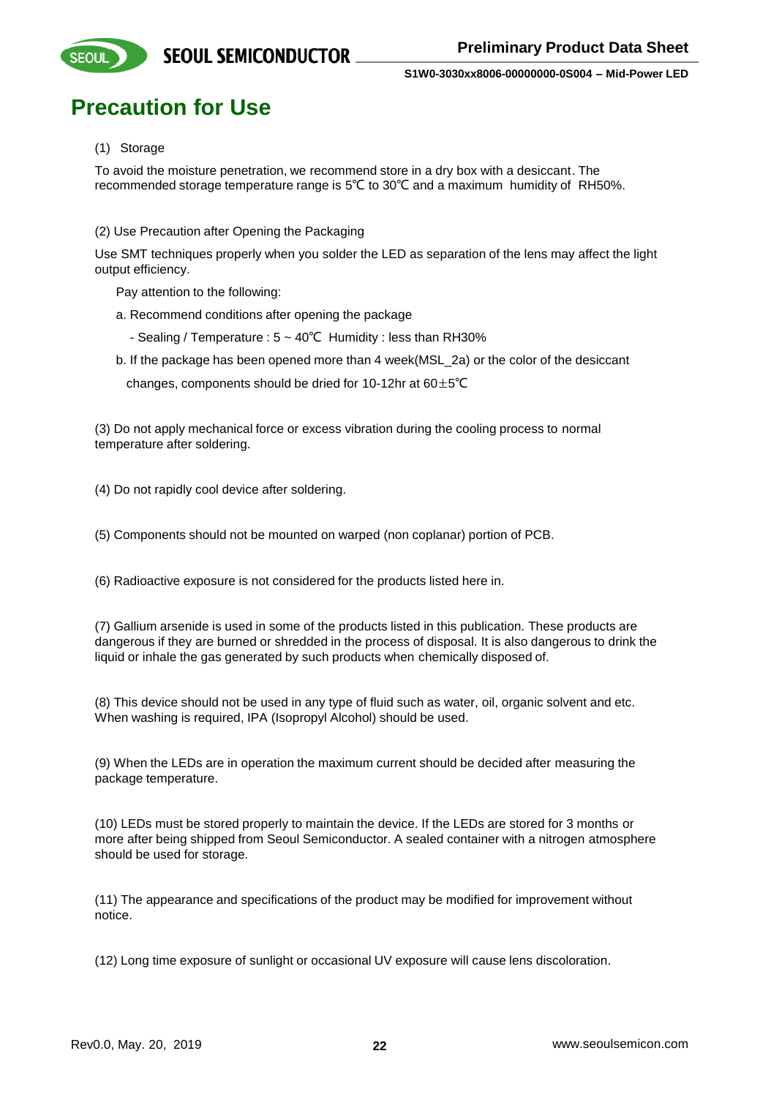

## **Precaution for Use**

#### (1) Storage

To avoid the moisture penetration, we recommend store in a dry box with a desiccant. The recommended storage temperature range is 5℃ to 30℃ and a maximum humidity of RH50%.

(2) Use Precaution after Opening the Packaging

Use SMT techniques properly when you solder the LED as separation of the lens may affect the light output efficiency.

Pay attention to the following:

- a. Recommend conditions after opening the package
	- Sealing / Temperature : 5 ~ 40℃ Humidity : less than RH30%
- b. If the package has been opened more than 4 week(MSL\_2a) or the color of the desiccant

changes, components should be dried for 10-12hr at  $60±5^{\circ}C$ 

(3) Do not apply mechanical force or excess vibration during the cooling process to normal temperature after soldering.

(4) Do not rapidly cool device after soldering.

(5) Components should not be mounted on warped (non coplanar) portion of PCB.

(6) Radioactive exposure is not considered for the products listed here in.

(7) Gallium arsenide is used in some of the products listed in this publication. These products are dangerous if they are burned or shredded in the process of disposal. It is also dangerous to drink the liquid or inhale the gas generated by such products when chemically disposed of.

(8) This device should not be used in any type of fluid such as water, oil, organic solvent and etc. When washing is required, IPA (Isopropyl Alcohol) should be used.

(9) When the LEDs are in operation the maximum current should be decided after measuring the package temperature.

(10) LEDs must be stored properly to maintain the device. If the LEDs are stored for 3 months or more after being shipped from Seoul Semiconductor. A sealed container with a nitrogen atmosphere should be used for storage.

(11) The appearance and specifications of the product may be modified for improvement without notice.

(12) Long time exposure of sunlight or occasional UV exposure will cause lens discoloration.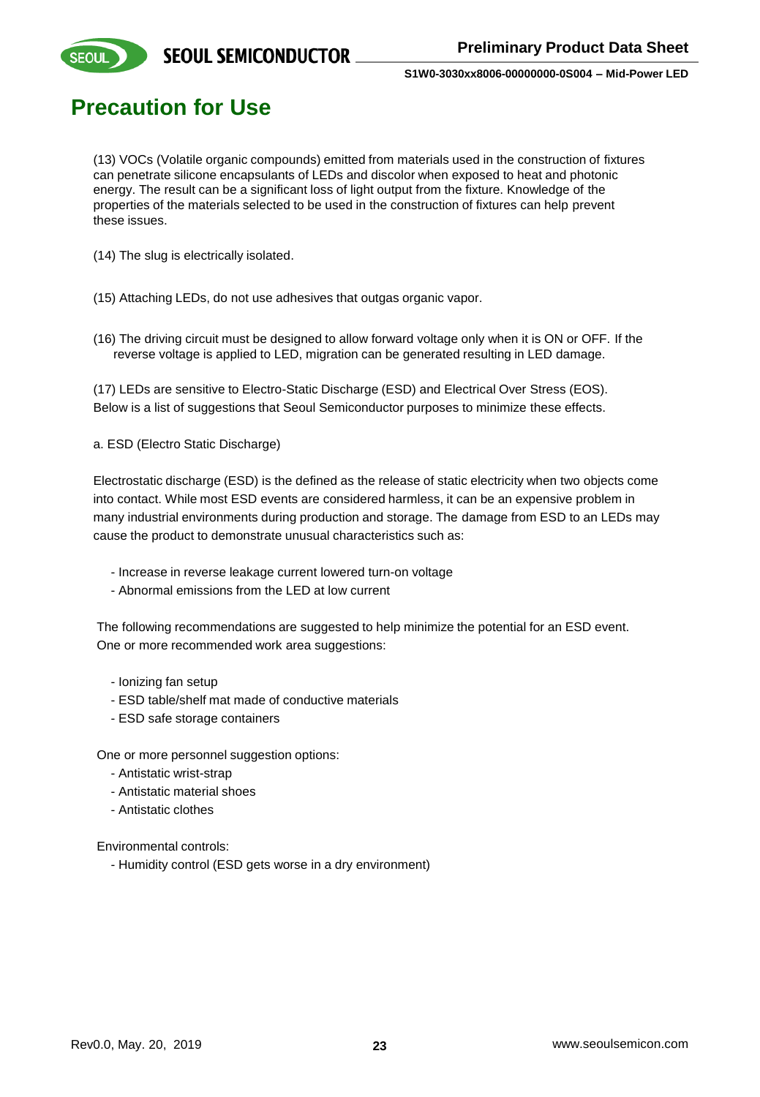

**SEOUI** 

**S1W0-3030xx8006-00000000-0S004 – Mid-Power LED**

### **Precaution for Use**

(13) VOCs (Volatile organic compounds) emitted from materials used in the construction of fixtures can penetrate silicone encapsulants of LEDs and discolor when exposed to heat and photonic energy. The result can be a significant loss of light output from the fixture. Knowledge of the properties of the materials selected to be used in the construction of fixtures can help prevent these issues.

(14) The slug is electrically isolated.

- (15) Attaching LEDs, do not use adhesives that outgas organic vapor.
- (16) The driving circuit must be designed to allow forward voltage only when it is ON or OFF. If the reverse voltage is applied to LED, migration can be generated resulting in LED damage.

(17) LEDs are sensitive to Electro-Static Discharge (ESD) and Electrical Over Stress (EOS). Below is a list of suggestions that Seoul Semiconductor purposes to minimize these effects.

a. ESD (Electro Static Discharge)

Electrostatic discharge (ESD) is the defined as the release of static electricity when two objects come into contact. While most ESD events are considered harmless, it can be an expensive problem in many industrial environments during production and storage. The damage from ESD to an LEDs may cause the product to demonstrate unusual characteristics such as:

- Increase in reverse leakage current lowered turn-on voltage
- Abnormal emissions from the LED at low current

The following recommendations are suggested to help minimize the potential for an ESD event. One or more recommended work area suggestions:

- Ionizing fan setup
- ESD table/shelf mat made of conductive materials
- ESD safe storage containers

One or more personnel suggestion options:

- Antistatic wrist-strap
- Antistatic material shoes
- Antistatic clothes

Environmental controls:

- Humidity control (ESD gets worse in a dry environment)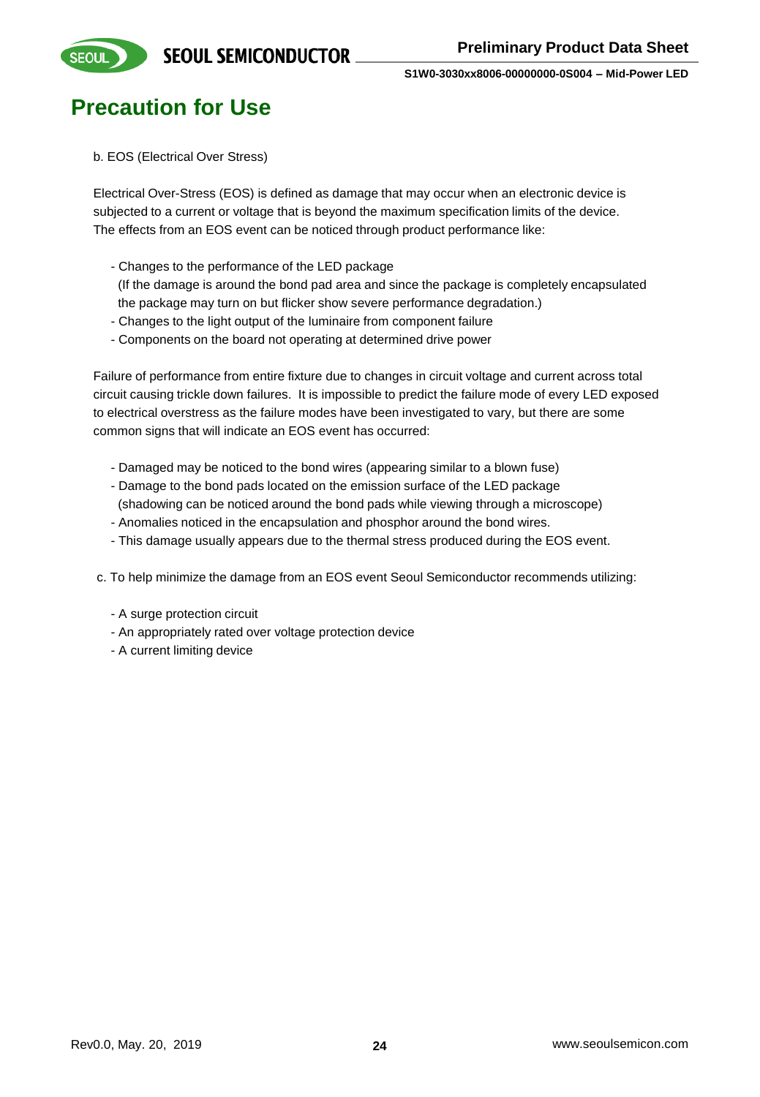

## **Precaution for Use**

b. EOS (Electrical Over Stress)

Electrical Over-Stress (EOS) is defined as damage that may occur when an electronic device is subjected to a current or voltage that is beyond the maximum specification limits of the device. The effects from an EOS event can be noticed through product performance like:

- Changes to the performance of the LED package

(If the damage is around the bond pad area and since the package is completely encapsulated the package may turn on but flicker show severe performance degradation.)

- Changes to the light output of the luminaire from component failure
- Components on the board not operating at determined drive power

Failure of performance from entire fixture due to changes in circuit voltage and current across total circuit causing trickle down failures. It is impossible to predict the failure mode of every LED exposed to electrical overstress as the failure modes have been investigated to vary, but there are some common signs that will indicate an EOS event has occurred:

- Damaged may be noticed to the bond wires (appearing similar to a blown fuse)
- Damage to the bond pads located on the emission surface of the LED package
- (shadowing can be noticed around the bond pads while viewing through a microscope)
- Anomalies noticed in the encapsulation and phosphor around the bond wires.
- This damage usually appears due to the thermal stress produced during the EOS event.
- c. To help minimize the damage from an EOS event Seoul Semiconductor recommends utilizing:
	- A surge protection circuit
	- An appropriately rated over voltage protection device
	- A current limiting device